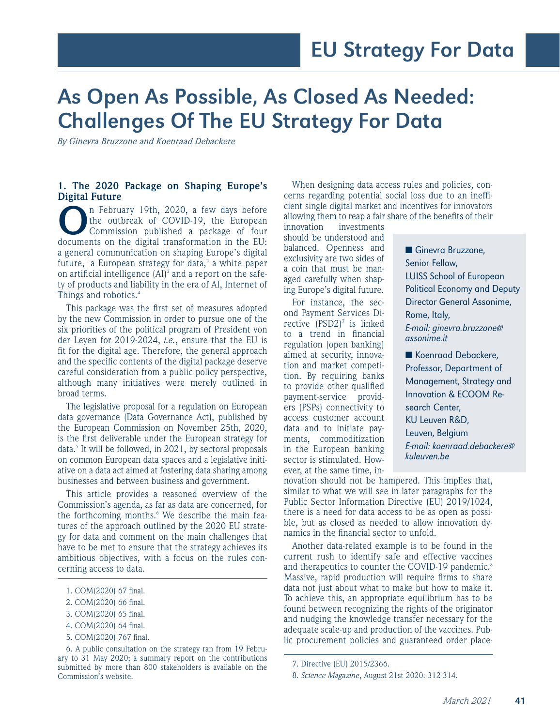# As Open As Possible, As Closed As Needed: Challenges Of The EU Strategy For Data

*By Ginevra Bruzzone and Koenraad Debackere*

## **1. The 2020 Package on Shaping Europe's Digital Future**

In February 19th, 2020, a few days before<br>
the outbreak of COVID-19, the European<br>
commission published a package of four<br>
documents on the digital transformation in the EUthe outbreak of COVID-19, the European documents on the digital transformation in the EU: a general communication on shaping Europe's digital future,<sup>1</sup> a European strategy for data,<sup>2</sup> a white paper on artificial intelligence  $(AI)^3$  and a report on the safety of products and liability in the era of AI, Internet of Things and robotics.4

This package was the first set of measures adopted by the new Commission in order to pursue one of the six priorities of the political program of President von der Leyen for 2019-2024, *i.e.*, ensure that the EU is fit for the digital age. Therefore, the general approach and the specific contents of the digital package deserve careful consideration from a public policy perspective, although many initiatives were merely outlined in broad terms.

The legislative proposal for a regulation on European data governance (Data Governance Act), published by the European Commission on November 25th, 2020, is the first deliverable under the European strategy for data.<sup>5</sup> It will be followed, in 2021, by sectoral proposals on common European data spaces and a legislative initiative on a data act aimed at fostering data sharing among businesses and between business and government.

This article provides a reasoned overview of the Commission's agenda, as far as data are concerned, for the forthcoming months.<sup>6</sup> We describe the main features of the approach outlined by the 2020 EU strategy for data and comment on the main challenges that have to be met to ensure that the strategy achieves its ambitious objectives, with a focus on the rules concerning access to data.

6. A public consultation on the strategy ran from 19 February to 31 May 2020; a summary report on the contributions submitted by more than 800 stakeholders is available on the Commission's website.

When designing data access rules and policies, concerns regarding potential social loss due to an inefficient single digital market and incentives for innovators allowing them to reap a fair share of the benefits of their

innovation investments should be understood and balanced. Openness and exclusivity are two sides of a coin that must be managed carefully when shaping Europe's digital future.

For instance, the second Payment Services Directive  $(PSD2)^7$  is linked to a trend in financial regulation (open banking) aimed at security, innovation and market competition. By requiring banks to provide other qualified payment-service providers (PSPs) connectivity to access customer account data and to initiate payments, commoditization in the European banking sector is stimulated. However, at the same time, in■ Ginevra Bruzzone, Senior Fellow, LUISS School of European Political Economy and Deputy Director General Assonime, Rome, Italy, E-mail: ginevra.bruzzone@ assonime.it

■ Koenraad Debackere, Professor, Department of Management, Strategy and Innovation & ECOOM Research Center, KU Leuven R&D, Leuven, Belgium E-mail: koenraad.debackere@ kuleuven.be

novation should not be hampered. This implies that, similar to what we will see in later paragraphs for the Public Sector Information Directive (EU) 2019/1024, there is a need for data access to be as open as possible, but as closed as needed to allow innovation dynamics in the financial sector to unfold.

Another data-related example is to be found in the current rush to identify safe and effective vaccines and therapeutics to counter the COVID-19 pandemic.<sup>8</sup> Massive, rapid production will require firms to share data not just about what to make but how to make it. To achieve this, an appropriate equilibrium has to be found between recognizing the rights of the originator and nudging the knowledge transfer necessary for the adequate scale-up and production of the vaccines. Public procurement policies and guaranteed order place-

<sup>1.</sup> COM(2020) 67 final.

<sup>2.</sup> COM(2020) 66 final.

<sup>3.</sup> COM(2020) 65 final.

<sup>4.</sup> COM(2020) 64 final.

<sup>5.</sup> COM(2020) 767 final.

<sup>7.</sup> Directive (EU) 2015/2366.

<sup>8.</sup> *Science Magazine*, August 21st 2020: 312-314.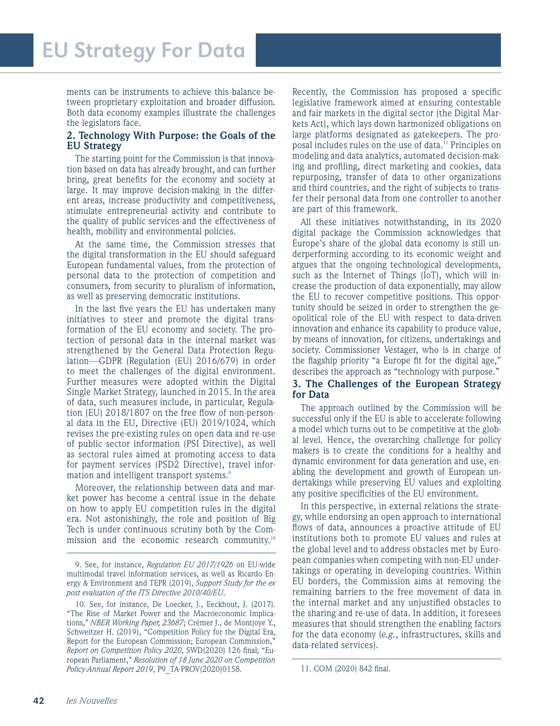ments can be instruments to achieve this balance between proprietary exploitation and broader diffusion. Both data economy examples illustrate the challenges the legislators face.

## **2. Technology With Purpose: the Goals of the EU Strategy**

The starting point for the Commission is that innovation based on data has already brought, and can further bring, great benefits for the economy and society at large. It may improve decision-making in the different areas, increase productivity and competitiveness, stimulate entrepreneurial activity and contribute to the quality of public services and the effectiveness of health, mobility and environmental policies.

At the same time, the Commission stresses that the digital transformation in the EU should safeguard European fundamental values, from the protection of personal data to the protection of competition and consumers, from security to pluralism of information, as well as preserving democratic institutions.

In the last five years the EU has undertaken many initiatives to steer and promote the digital transformation of the EU economy and society. The protection of personal data in the internal market was strengthened by the General Data Protection Regulation—GDPR (Regulation (EU) 2016/679) in order to meet the challenges of the digital environment. Further measures were adopted within the Digital Single Market Strategy, launched in 2015. In the area of data, such measures include, in particular, Regulation (EU) 2018/1807 on the free flow of non-personal data in the EU, Directive (EU) 2019/1024, which revises the pre-existing rules on open data and re-use of public sector information (PSI Directive), as well as sectoral rules aimed at promoting access to data for payment services (PSD2 Directive), travel information and intelligent transport systems.<sup>9</sup>

Moreover, the relationship between data and market power has become a central issue in the debate on how to apply EU competition rules in the digital era. Not astonishingly, the role and position of Big Tech is under continuous scrutiny both by the Commission and the economic research community.<sup>10</sup>

Recently, the Commission has proposed a specific legislative framework aimed at ensuring contestable and fair markets in the digital sector (the Digital Markets Act), which lays down harmonized obligations on large platforms designated as gatekeepers. The proposal includes rules on the use of data.<sup>11</sup> Principles on modeling and data analytics, automated decision-making and profiling, direct marketing and cookies, data repurposing, transfer of data to other organizations and third countries, and the right of subjects to transfer their personal data from one controller to another are part of this framework.

All these initiatives notwithstanding, in its 2020 digital package the Commission acknowledges that Europe's share of the global data economy is still underperforming according to its economic weight and argues that the ongoing technological developments, such as the Internet of Things (IoT), which will increase the production of data exponentially, may allow the EU to recover competitive positions. This opportunity should be seized in order to strengthen the geopolitical role of the EU with respect to data-driven innovation and enhance its capability to produce value, by means of innovation, for citizens, undertakings and society. Commissioner Vestager, who is in charge of the flagship priority "a Europe fit for the digital age," describes the approach as "technology with purpose."

## **3. The Challenges of the European Strategy for Data**

The approach outlined by the Commission will be successful only if the EU is able to accelerate following a model which turns out to be competitive at the global level. Hence, the overarching challenge for policy makers is to create the conditions for a healthy and dynamic environment for data generation and use, enabling the development and growth of European undertakings while preserving EU values and exploiting any positive specificities of the EU environment.

In this perspective, in external relations the strategy, while endorsing an open approach to international flows of data, announces a proactive attitude of EU institutions both to promote EU values and rules at the global level and to address obstacles met by European companies when competing with non-EU undertakings or operating in developing countries. Within EU borders, the Commission aims at removing the remaining barriers to the free movement of data in the internal market and any unjustified obstacles to the sharing and re-use of data. In addition, it foresees measures that should strengthen the enabling factors for the data economy (*e.g.*, infrastructures, skills and data-related services).

<sup>9.</sup> See, for instance, *Regulation EU 2017/1926* on EU-wide multimodal travel information services, as well as Ricardo Energy & Environment and TEPR (2019), *Support Study for the ex post evaluation of the ITS Directive 2010/40/EU*.

<sup>10.</sup> See, for instance, De Loecker, J., Eeckhout, J. (2017). "The Rise of Market Power and the Macroeconomic Implications," *NBER Working Paper, 23687*; Crémer J., de Montjoye Y., Schweitzer H. (2019), "Competition Policy for the Digital Era, Report for the European Commission; European Commission," *Report on Competition Policy 2020*, SWD(2020) 126 final; "European Parliament," *Resolution of 18 June 2020 on Competition Policy-Annual Report 2019*, P9\_TA-PROV(2020)0158. 11. COM (2020) 842 final.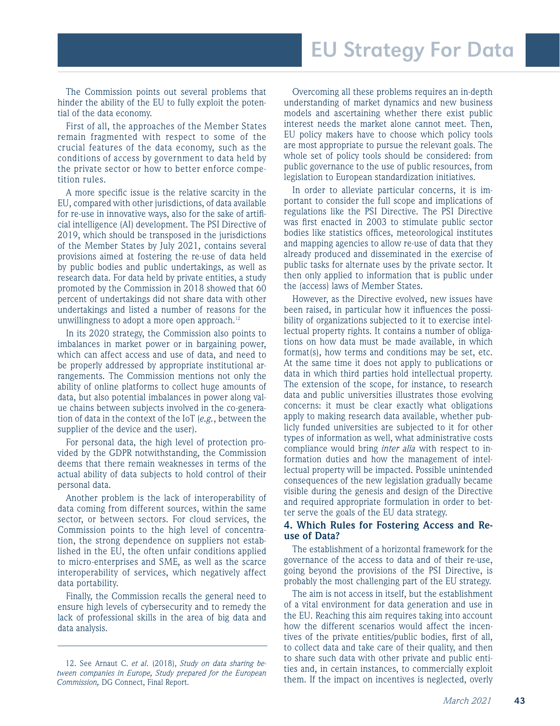The Commission points out several problems that hinder the ability of the EU to fully exploit the potential of the data economy.

First of all, the approaches of the Member States remain fragmented with respect to some of the crucial features of the data economy, such as the conditions of access by government to data held by the private sector or how to better enforce competition rules.

A more specific issue is the relative scarcity in the EU, compared with other jurisdictions, of data available for re-use in innovative ways, also for the sake of artificial intelligence (AI) development. The PSI Directive of 2019, which should be transposed in the jurisdictions of the Member States by July 2021, contains several provisions aimed at fostering the re-use of data held by public bodies and public undertakings, as well as research data. For data held by private entities, a study promoted by the Commission in 2018 showed that 60 percent of undertakings did not share data with other undertakings and listed a number of reasons for the unwillingness to adopt a more open approach. $12$ 

In its 2020 strategy, the Commission also points to imbalances in market power or in bargaining power, which can affect access and use of data, and need to be properly addressed by appropriate institutional arrangements. The Commission mentions not only the ability of online platforms to collect huge amounts of data, but also potential imbalances in power along value chains between subjects involved in the co-generation of data in the context of the IoT (*e.g.*, between the supplier of the device and the user).

For personal data, the high level of protection provided by the GDPR notwithstanding, the Commission deems that there remain weaknesses in terms of the actual ability of data subjects to hold control of their personal data.

Another problem is the lack of interoperability of data coming from different sources, within the same sector, or between sectors. For cloud services, the Commission points to the high level of concentration, the strong dependence on suppliers not established in the EU, the often unfair conditions applied to micro-enterprises and SME, as well as the scarce interoperability of services, which negatively affect data portability.

Finally, the Commission recalls the general need to ensure high levels of cybersecurity and to remedy the lack of professional skills in the area of big data and data analysis.

Overcoming all these problems requires an in-depth understanding of market dynamics and new business models and ascertaining whether there exist public interest needs the market alone cannot meet. Then, EU policy makers have to choose which policy tools are most appropriate to pursue the relevant goals. The whole set of policy tools should be considered: from public governance to the use of public resources, from legislation to European standardization initiatives.

In order to alleviate particular concerns, it is important to consider the full scope and implications of regulations like the PSI Directive. The PSI Directive was first enacted in 2003 to stimulate public sector bodies like statistics offices, meteorological institutes and mapping agencies to allow re-use of data that they already produced and disseminated in the exercise of public tasks for alternate uses by the private sector. It then only applied to information that is public under the (access) laws of Member States.

However, as the Directive evolved, new issues have been raised, in particular how it influences the possibility of organizations subjected to it to exercise intellectual property rights. It contains a number of obligations on how data must be made available, in which format(s), how terms and conditions may be set, etc. At the same time it does not apply to publications or data in which third parties hold intellectual property. The extension of the scope, for instance, to research data and public universities illustrates those evolving concerns: it must be clear exactly what obligations apply to making research data available, whether publicly funded universities are subjected to it for other types of information as well, what administrative costs compliance would bring *inter alia* with respect to information duties and how the management of intellectual property will be impacted. Possible unintended consequences of the new legislation gradually became visible during the genesis and design of the Directive and required appropriate formulation in order to better serve the goals of the EU data strategy.

### **4. Which Rules for Fostering Access and Reuse of Data?**

The establishment of a horizontal framework for the governance of the access to data and of their re-use, going beyond the provisions of the PSI Directive, is probably the most challenging part of the EU strategy.

The aim is not access in itself, but the establishment of a vital environment for data generation and use in the EU. Reaching this aim requires taking into account how the different scenarios would affect the incentives of the private entities/public bodies, first of all, to collect data and take care of their quality, and then to share such data with other private and public entities and, in certain instances, to commercially exploit them. If the impact on incentives is neglected, overly

<sup>12.</sup> See Arnaut C. *et al*. (2018), *Study on data sharing between companies in Europe, Study prepared for the European Commission,* DG Connect, Final Report.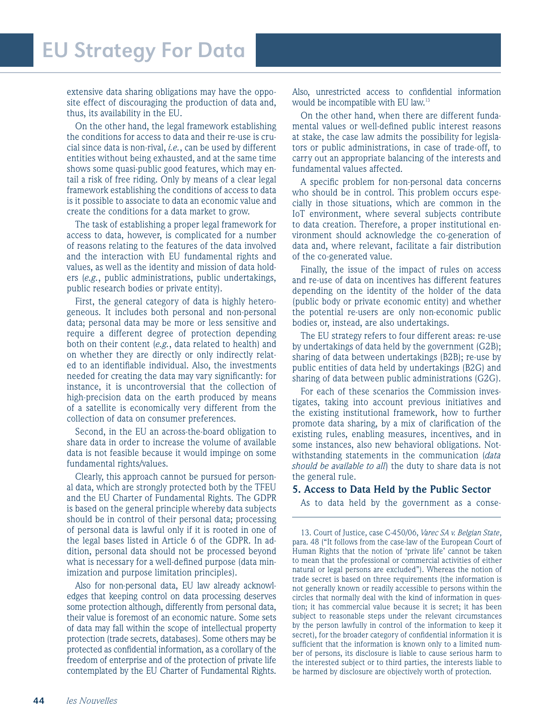extensive data sharing obligations may have the opposite effect of discouraging the production of data and, thus, its availability in the EU.

On the other hand, the legal framework establishing the conditions for access to data and their re-use is crucial since data is non-rival, *i.e.*, can be used by different entities without being exhausted, and at the same time shows some quasi-public good features, which may entail a risk of free riding. Only by means of a clear legal framework establishing the conditions of access to data is it possible to associate to data an economic value and create the conditions for a data market to grow.

The task of establishing a proper legal framework for access to data, however, is complicated for a number of reasons relating to the features of the data involved and the interaction with EU fundamental rights and values, as well as the identity and mission of data holders (*e.g.*, public administrations, public undertakings, public research bodies or private entity).

First, the general category of data is highly heterogeneous. It includes both personal and non-personal data; personal data may be more or less sensitive and require a different degree of protection depending both on their content (*e.g.*, data related to health) and on whether they are directly or only indirectly related to an identifiable individual. Also, the investments needed for creating the data may vary significantly: for instance, it is uncontroversial that the collection of high-precision data on the earth produced by means of a satellite is economically very different from the collection of data on consumer preferences.

Second, in the EU an across-the-board obligation to share data in order to increase the volume of available data is not feasible because it would impinge on some fundamental rights/values.

Clearly, this approach cannot be pursued for personal data, which are strongly protected both by the TFEU and the EU Charter of Fundamental Rights. The GDPR is based on the general principle whereby data subjects should be in control of their personal data; processing of personal data is lawful only if it is rooted in one of the legal bases listed in Article 6 of the GDPR. In addition, personal data should not be processed beyond what is necessary for a well-defined purpose (data minimization and purpose limitation principles).

Also for non-personal data, EU law already acknowledges that keeping control on data processing deserves some protection although, differently from personal data, their value is foremost of an economic nature. Some sets of data may fall within the scope of intellectual property protection (trade secrets, databases). Some others may be protected as confidential information, as a corollary of the freedom of enterprise and of the protection of private life contemplated by the EU Charter of Fundamental Rights.

Also, unrestricted access to confidential information would be incompatible with EU law.13

On the other hand, when there are different fundamental values or well-defined public interest reasons at stake, the case law admits the possibility for legislators or public administrations, in case of trade-off, to carry out an appropriate balancing of the interests and fundamental values affected.

A specific problem for non-personal data concerns who should be in control. This problem occurs especially in those situations, which are common in the IoT environment, where several subjects contribute to data creation. Therefore, a proper institutional environment should acknowledge the co-generation of data and, where relevant, facilitate a fair distribution of the co-generated value.

Finally, the issue of the impact of rules on access and re-use of data on incentives has different features depending on the identity of the holder of the data (public body or private economic entity) and whether the potential re-users are only non-economic public bodies or, instead, are also undertakings.

The EU strategy refers to four different areas: re-use by undertakings of data held by the government (G2B); sharing of data between undertakings (B2B); re-use by public entities of data held by undertakings (B2G) and sharing of data between public administrations (G2G).

For each of these scenarios the Commission investigates, taking into account previous initiatives and the existing institutional framework, how to further promote data sharing, by a mix of clarification of the existing rules, enabling measures, incentives, and in some instances, also new behavioral obligations. Notwithstanding statements in the communication (*data should be available to all*) the duty to share data is not the general rule.

## **5. Access to Data Held by the Public Sector**

As to data held by the government as a conse-

13. Court of Justice, case C-450/06, *Varec SA v. Belgian State*, para. 48 ("It follows from the case-law of the European Court of Human Rights that the notion of 'private life' cannot be taken to mean that the professional or commercial activities of either natural or legal persons are excluded"). Whereas the notion of trade secret is based on three requirements (the information is not generally known or readily accessible to persons within the circles that normally deal with the kind of information in question; it has commercial value because it is secret; it has been subject to reasonable steps under the relevant circumstances by the person lawfully in control of the information to keep it secret), for the broader category of confidential information it is sufficient that the information is known only to a limited number of persons, its disclosure is liable to cause serious harm to the interested subject or to third parties, the interests liable to be harmed by disclosure are objectively worth of protection.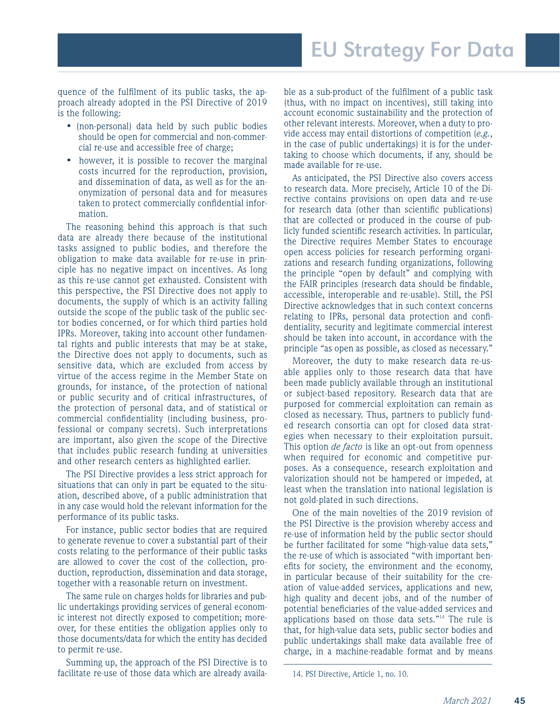quence of the fulfilment of its public tasks, the approach already adopted in the PSI Directive of 2019 is the following:

- (non-personal) data held by such public bodies should be open for commercial and non-commercial re-use and accessible free of charge;
- however, it is possible to recover the marginal costs incurred for the reproduction, provision, and dissemination of data, as well as for the anonymization of personal data and for measures taken to protect commercially confidential information.

The reasoning behind this approach is that such data are already there because of the institutional tasks assigned to public bodies, and therefore the obligation to make data available for re-use in principle has no negative impact on incentives. As long as this re-use cannot get exhausted. Consistent with this perspective, the PSI Directive does not apply to documents, the supply of which is an activity falling outside the scope of the public task of the public sector bodies concerned, or for which third parties hold IPRs. Moreover, taking into account other fundamental rights and public interests that may be at stake, the Directive does not apply to documents, such as sensitive data, which are excluded from access by virtue of the access regime in the Member State on grounds, for instance, of the protection of national or public security and of critical infrastructures, of the protection of personal data, and of statistical or commercial confidentiality (including business, professional or company secrets). Such interpretations are important, also given the scope of the Directive that includes public research funding at universities and other research centers as highlighted earlier.

The PSI Directive provides a less strict approach for situations that can only in part be equated to the situation, described above, of a public administration that in any case would hold the relevant information for the performance of its public tasks.

For instance, public sector bodies that are required to generate revenue to cover a substantial part of their costs relating to the performance of their public tasks are allowed to cover the cost of the collection, production, reproduction, dissemination and data storage, together with a reasonable return on investment.

The same rule on charges holds for libraries and public undertakings providing services of general economic interest not directly exposed to competition; moreover, for these entities the obligation applies only to those documents/data for which the entity has decided to permit re-use.

Summing up, the approach of the PSI Directive is to facilitate re-use of those data which are already available as a sub-product of the fulfilment of a public task (thus, with no impact on incentives), still taking into account economic sustainability and the protection of other relevant interests. Moreover, when a duty to provide access may entail distortions of competition (*e.g.*, in the case of public undertakings) it is for the undertaking to choose which documents, if any, should be made available for re-use.

As anticipated, the PSI Directive also covers access to research data. More precisely, Article 10 of the Directive contains provisions on open data and re-use for research data (other than scientific publications) that are collected or produced in the course of publicly funded scientific research activities. In particular, the Directive requires Member States to encourage open access policies for research performing organizations and research funding organizations, following the principle "open by default" and complying with the FAIR principles (research data should be findable, accessible, interoperable and re-usable). Still, the PSI Directive acknowledges that in such context concerns relating to IPRs, personal data protection and confidentiality, security and legitimate commercial interest should be taken into account, in accordance with the principle "as open as possible, as closed as necessary."

Moreover, the duty to make research data re-usable applies only to those research data that have been made publicly available through an institutional or subject-based repository. Research data that are purposed for commercial exploitation can remain as closed as necessary. Thus, partners to publicly funded research consortia can opt for closed data strategies when necessary to their exploitation pursuit. This option *de facto* is like an opt-out from openness when required for economic and competitive purposes. As a consequence, research exploitation and valorization should not be hampered or impeded, at least when the translation into national legislation is not gold-plated in such directions.

One of the main novelties of the 2019 revision of the PSI Directive is the provision whereby access and re-use of information held by the public sector should be further facilitated for some "high-value data sets," the re-use of which is associated "with important benefits for society, the environment and the economy, in particular because of their suitability for the creation of value-added services, applications and new, high quality and decent jobs, and of the number of potential beneficiaries of the value-added services and applications based on those data sets."14 The rule is that, for high-value data sets, public sector bodies and public undertakings shall make data available free of charge, in a machine-readable format and by means

<sup>14.</sup> PSI Directive, Article 1, no. 10.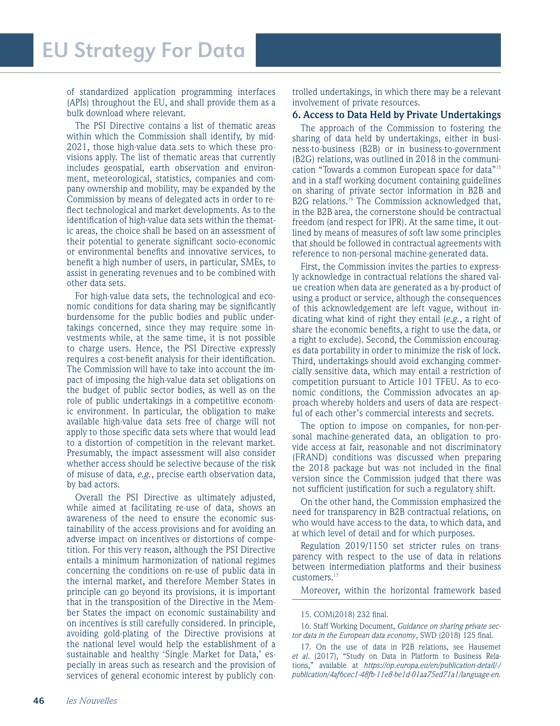of standardized application programming interfaces (APIs) throughout the EU, and shall provide them as a bulk download where relevant.

The PSI Directive contains a list of thematic areas within which the Commission shall identify, by mid-2021, those high-value data sets to which these provisions apply. The list of thematic areas that currently includes geospatial, earth observation and environment, meteorological, statistics, companies and company ownership and mobility, may be expanded by the Commission by means of delegated acts in order to reflect technological and market developments. As to the identification of high-value data sets within the thematic areas, the choice shall be based on an assessment of their potential to generate significant socio-economic or environmental benefits and innovative services, to benefit a high number of users, in particular, SMEs, to assist in generating revenues and to be combined with other data sets.

For high-value data sets, the technological and economic conditions for data sharing may be significantly burdensome for the public bodies and public undertakings concerned, since they may require some investments while, at the same time, it is not possible to charge users. Hence, the PSI Directive expressly requires a cost-benefit analysis for their identification. The Commission will have to take into account the impact of imposing the high-value data set obligations on the budget of public sector bodies, as well as on the role of public undertakings in a competitive economic environment. In particular, the obligation to make available high-value data sets free of charge will not apply to those specific data sets where that would lead to a distortion of competition in the relevant market. Presumably, the impact assessment will also consider whether access should be selective because of the risk of misuse of data, *e.g.*, precise earth observation data, by bad actors.

Overall the PSI Directive as ultimately adjusted, while aimed at facilitating re-use of data, shows an awareness of the need to ensure the economic sustainability of the access provisions and for avoiding an adverse impact on incentives or distortions of competition. For this very reason, although the PSI Directive entails a minimum harmonization of national regimes concerning the conditions on re-use of public data in the internal market, and therefore Member States in principle can go beyond its provisions, it is important that in the transposition of the Directive in the Member States the impact on economic sustainability and on incentives is still carefully considered. In principle, avoiding gold-plating of the Directive provisions at the national level would help the establishment of a sustainable and healthy 'Single Market for Data,' especially in areas such as research and the provision of services of general economic interest by publicly controlled undertakings, in which there may be a relevant involvement of private resources.

#### **6. Access to Data Held by Private Undertakings**

The approach of the Commission to fostering the sharing of data held by undertakings, either in business-to-business (B2B) or in business-to-government (B2G) relations, was outlined in 2018 in the communication "Towards a common European space for data"15 and in a staff working document containing guidelines on sharing of private sector information in B2B and B2G relations.<sup>16</sup> The Commission acknowledged that, in the B2B area, the cornerstone should be contractual freedom (and respect for IPR). At the same time, it outlined by means of measures of soft law some principles that should be followed in contractual agreements with reference to non-personal machine-generated data.

First, the Commission invites the parties to expressly acknowledge in contractual relations the shared value creation when data are generated as a by-product of using a product or service, although the consequences of this acknowledgement are left vague, without indicating what kind of right they entail (*e.g.*, a right of share the economic benefits, a right to use the data, or a right to exclude). Second, the Commission encourages data portability in order to minimize the risk of lock. Third, undertakings should avoid exchanging commercially sensitive data, which may entail a restriction of competition pursuant to Article 101 TFEU. As to economic conditions, the Commission advocates an approach whereby holders and users of data are respectful of each other's commercial interests and secrets.

The option to impose on companies, for non-personal machine-generated data, an obligation to provide access at fair, reasonable and not discriminatory (FRAND) conditions was discussed when preparing the 2018 package but was not included in the final version since the Commission judged that there was not sufficient justification for such a regulatory shift.

On the other hand, the Commission emphasized the need for transparency in B2B contractual relations, on who would have access to the data, to which data, and at which level of detail and for which purposes.

Regulation 2019/1150 set stricter rules on transparency with respect to the use of data in relations between intermediation platforms and their business customers.17

Moreover, within the horizontal framework based

#### 15. COM(2018) 232 final.

16. Staff Working Document, *Guidance on sharing private sector data in the European data economy*, SWD (2018) 125 final.

17. On the use of data in P2B relations, see Hausemet *et al*. (2017), "Study on Data in Platform to Business Relations," available at *https://op.europa.eu/en/publication-detail/-/ publication/4af6cec1-48fb-11e8-be1d-01aa75ed71a1/language-en.*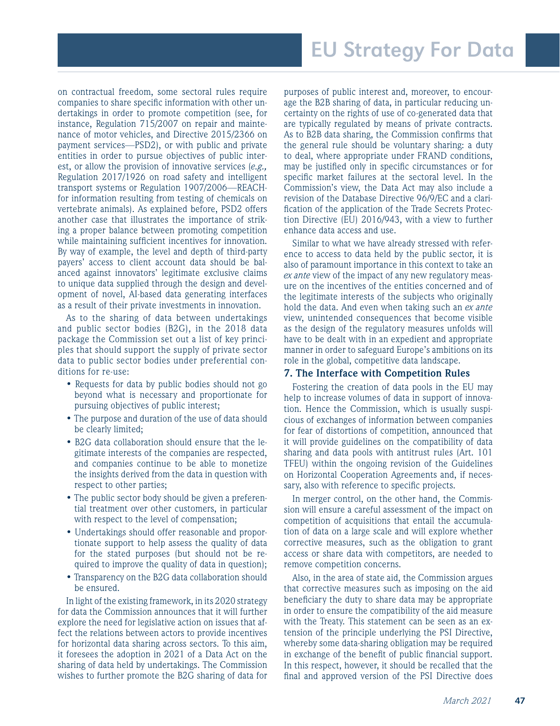on contractual freedom, some sectoral rules require companies to share specific information with other undertakings in order to promote competition (see, for instance, Regulation 715/2007 on repair and maintenance of motor vehicles, and Directive 2015/2366 on payment services—PSD2), or with public and private entities in order to pursue objectives of public interest, or allow the provision of innovative services (*e.g.,*  Regulation 2017/1926 on road safety and intelligent transport systems or Regulation 1907/2006—REACHfor information resulting from testing of chemicals on vertebrate animals). As explained before, PSD2 offers another case that illustrates the importance of striking a proper balance between promoting competition while maintaining sufficient incentives for innovation. By way of example, the level and depth of third-party payers' access to client account data should be balanced against innovators' legitimate exclusive claims to unique data supplied through the design and development of novel, AI-based data generating interfaces as a result of their private investments in innovation.

As to the sharing of data between undertakings and public sector bodies (B2G), in the 2018 data package the Commission set out a list of key principles that should support the supply of private sector data to public sector bodies under preferential conditions for re-use:

- Requests for data by public bodies should not go beyond what is necessary and proportionate for pursuing objectives of public interest;
- The purpose and duration of the use of data should be clearly limited;
- B2G data collaboration should ensure that the legitimate interests of the companies are respected, and companies continue to be able to monetize the insights derived from the data in question with respect to other parties;
- The public sector body should be given a preferential treatment over other customers, in particular with respect to the level of compensation;
- Undertakings should offer reasonable and proportionate support to help assess the quality of data for the stated purposes (but should not be required to improve the quality of data in question);
- Transparency on the B2G data collaboration should be ensured.

In light of the existing framework, in its 2020 strategy for data the Commission announces that it will further explore the need for legislative action on issues that affect the relations between actors to provide incentives for horizontal data sharing across sectors. To this aim, it foresees the adoption in 2021 of a Data Act on the sharing of data held by undertakings. The Commission wishes to further promote the B2G sharing of data for

purposes of public interest and, moreover, to encourage the B2B sharing of data, in particular reducing uncertainty on the rights of use of co-generated data that are typically regulated by means of private contracts. As to B2B data sharing, the Commission confirms that the general rule should be voluntary sharing: a duty to deal, where appropriate under FRAND conditions, may be justified only in specific circumstances or for specific market failures at the sectoral level. In the Commission's view, the Data Act may also include a revision of the Database Directive 96/9/EC and a clarification of the application of the Trade Secrets Protection Directive (EU) 2016/943, with a view to further enhance data access and use.

Similar to what we have already stressed with reference to access to data held by the public sector, it is also of paramount importance in this context to take an *ex ante* view of the impact of any new regulatory measure on the incentives of the entities concerned and of the legitimate interests of the subjects who originally hold the data. And even when taking such an *ex ante* view, unintended consequences that become visible as the design of the regulatory measures unfolds will have to be dealt with in an expedient and appropriate manner in order to safeguard Europe's ambitions on its role in the global, competitive data landscape.

### **7. The Interface with Competition Rules**

Fostering the creation of data pools in the EU may help to increase volumes of data in support of innovation. Hence the Commission, which is usually suspicious of exchanges of information between companies for fear of distortions of competition, announced that it will provide guidelines on the compatibility of data sharing and data pools with antitrust rules (Art. 101 TFEU) within the ongoing revision of the Guidelines on Horizontal Cooperation Agreements and, if necessary, also with reference to specific projects.

In merger control, on the other hand, the Commission will ensure a careful assessment of the impact on competition of acquisitions that entail the accumulation of data on a large scale and will explore whether corrective measures, such as the obligation to grant access or share data with competitors, are needed to remove competition concerns.

Also, in the area of state aid, the Commission argues that corrective measures such as imposing on the aid beneficiary the duty to share data may be appropriate in order to ensure the compatibility of the aid measure with the Treaty. This statement can be seen as an extension of the principle underlying the PSI Directive, whereby some data-sharing obligation may be required in exchange of the benefit of public financial support. In this respect, however, it should be recalled that the final and approved version of the PSI Directive does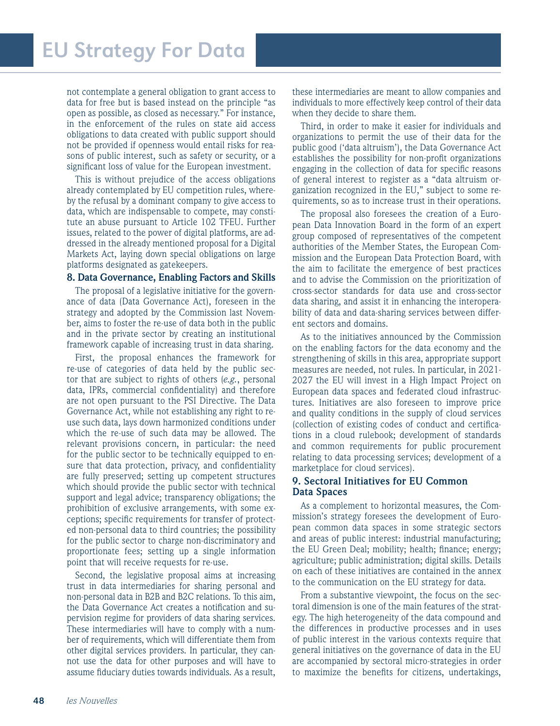not contemplate a general obligation to grant access to data for free but is based instead on the principle "as open as possible, as closed as necessary." For instance, in the enforcement of the rules on state aid access obligations to data created with public support should not be provided if openness would entail risks for reasons of public interest, such as safety or security, or a significant loss of value for the European investment.

This is without prejudice of the access obligations already contemplated by EU competition rules, whereby the refusal by a dominant company to give access to data, which are indispensable to compete, may constitute an abuse pursuant to Article 102 TFEU. Further issues, related to the power of digital platforms, are addressed in the already mentioned proposal for a Digital Markets Act, laying down special obligations on large platforms designated as gatekeepers.

#### **8. Data Governance, Enabling Factors and Skills**

The proposal of a legislative initiative for the governance of data (Data Governance Act), foreseen in the strategy and adopted by the Commission last November, aims to foster the re-use of data both in the public and in the private sector by creating an institutional framework capable of increasing trust in data sharing.

First, the proposal enhances the framework for re-use of categories of data held by the public sector that are subject to rights of others (*e.g.*, personal data, IPRs, commercial confidentiality) and therefore are not open pursuant to the PSI Directive. The Data Governance Act, while not establishing any right to reuse such data, lays down harmonized conditions under which the re-use of such data may be allowed. The relevant provisions concern, in particular: the need for the public sector to be technically equipped to ensure that data protection, privacy, and confidentiality are fully preserved; setting up competent structures which should provide the public sector with technical support and legal advice; transparency obligations; the prohibition of exclusive arrangements, with some exceptions; specific requirements for transfer of protected non-personal data to third countries; the possibility for the public sector to charge non-discriminatory and proportionate fees; setting up a single information point that will receive requests for re-use.

Second, the legislative proposal aims at increasing trust in data intermediaries for sharing personal and non-personal data in B2B and B2C relations. To this aim, the Data Governance Act creates a notification and supervision regime for providers of data sharing services. These intermediaries will have to comply with a number of requirements, which will differentiate them from other digital services providers. In particular, they cannot use the data for other purposes and will have to assume fiduciary duties towards individuals. As a result,

these intermediaries are meant to allow companies and individuals to more effectively keep control of their data when they decide to share them.

Third, in order to make it easier for individuals and organizations to permit the use of their data for the public good ('data altruism'), the Data Governance Act establishes the possibility for non-profit organizations engaging in the collection of data for specific reasons of general interest to register as a "data altruism organization recognized in the EU," subject to some requirements, so as to increase trust in their operations.

The proposal also foresees the creation of a European Data Innovation Board in the form of an expert group composed of representatives of the competent authorities of the Member States, the European Commission and the European Data Protection Board, with the aim to facilitate the emergence of best practices and to advise the Commission on the prioritization of cross-sector standards for data use and cross-sector data sharing, and assist it in enhancing the interoperability of data and data-sharing services between different sectors and domains.

As to the initiatives announced by the Commission on the enabling factors for the data economy and the strengthening of skills in this area, appropriate support measures are needed, not rules. In particular, in 2021- 2027 the EU will invest in a High Impact Project on European data spaces and federated cloud infrastructures. Initiatives are also foreseen to improve price and quality conditions in the supply of cloud services (collection of existing codes of conduct and certifications in a cloud rulebook; development of standards and common requirements for public procurement relating to data processing services; development of a marketplace for cloud services).

### **9. Sectoral Initiatives for EU Common Data Spaces**

As a complement to horizontal measures, the Commission's strategy foresees the development of European common data spaces in some strategic sectors and areas of public interest: industrial manufacturing; the EU Green Deal; mobility; health; finance; energy; agriculture; public administration; digital skills. Details on each of these initiatives are contained in the annex to the communication on the EU strategy for data.

From a substantive viewpoint, the focus on the sectoral dimension is one of the main features of the strategy. The high heterogeneity of the data compound and the differences in productive processes and in uses of public interest in the various contexts require that general initiatives on the governance of data in the EU are accompanied by sectoral micro-strategies in order to maximize the benefits for citizens, undertakings,